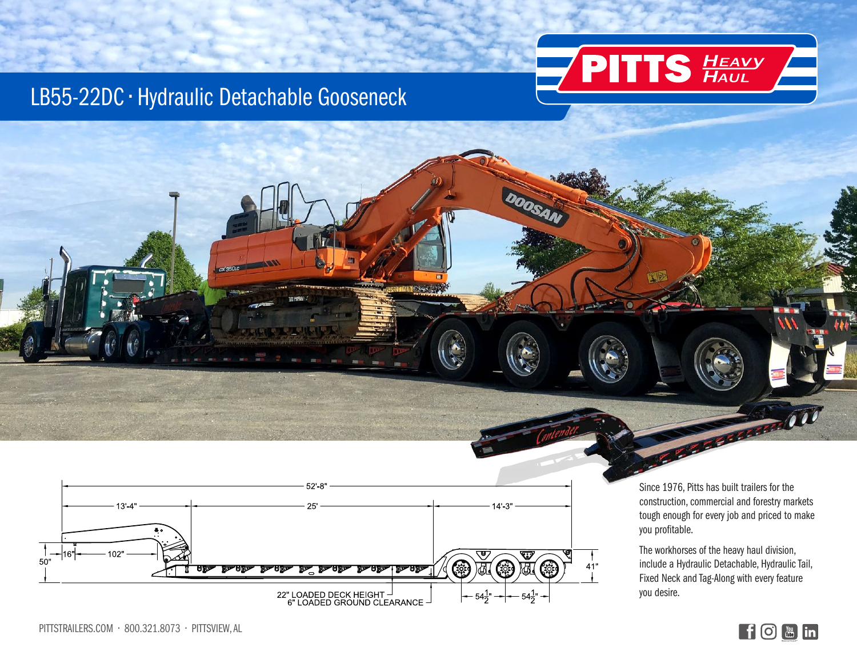

## LB55-22DC • Hydraulic Detachable Gooseneck



Since 1976, Pitts has built trailers for the construction, commercial and forestry markets tough enough for every job and priced to make you profitable.

**CONSTRUCTION** 

The workhorses of the heavy haul division, include a Hydraulic Detachable, Hydraulic Tail, Fixed Neck and Tag-Along with every feature you desire.